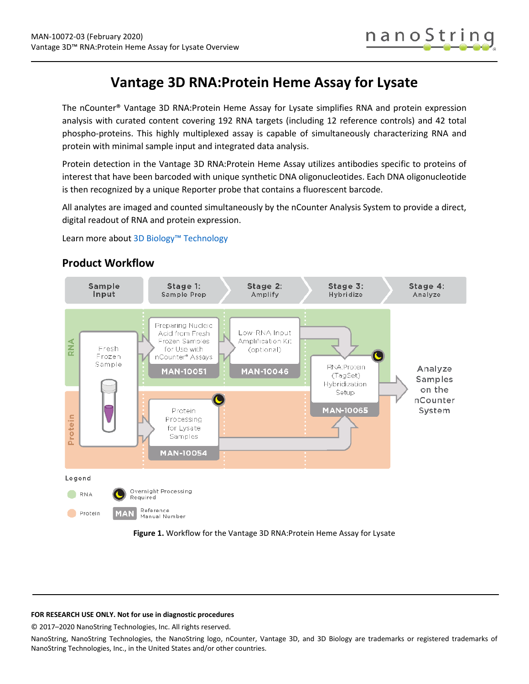

# **Vantage 3D RNA:Protein Heme Assay for Lysate**

The nCounter® Vantage 3D RNA:Protein Heme Assay for Lysate simplifies RNA and protein expression analysis with curated content covering 192 RNA targets (including 12 reference controls) and 42 total phospho-proteins. This highly multiplexed assay is capable of simultaneously characterizing RNA and protein with minimal sample input and integrated data analysis.

Protein detection in the Vantage 3D RNA:Protein Heme Assay utilizes antibodies specific to proteins of interest that have been barcoded with unique synthetic DNA oligonucleotides. Each DNA oligonucleotide is then recognized by a unique Reporter probe that contains a fluorescent barcode.

All analytes are imaged and counted simultaneously by the nCounter Analysis System to provide a direct, digital readout of RNA and protein expression.

Learn more abou[t 3D Biology™ Technology](https://www.nanostring.com/scientific-content/technology-overview/3d-biology-technology)



## **Product Workflow**

**Figure 1.** Workflow for the Vantage 3D RNA:Protein Heme Assay for Lysate

### **FOR RESEARCH USE ONLY. Not for use in diagnostic procedures**

© 2017–2020 NanoString Technologies, Inc. All rights reserved.

NanoString, NanoString Technologies, the NanoString logo, nCounter, Vantage 3D, and 3D Biology are trademarks or registered trademarks of NanoString Technologies, Inc., in the United States and/or other countries.